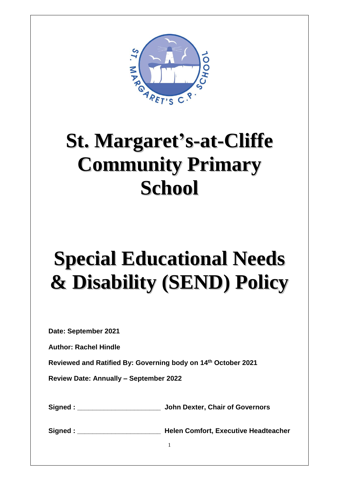

## **St. Margaret's-at-Cliffe Community Primary School**

# **Special Educational Needs & Disability (SEND) Policy**

**Date: September 2021**

**Author: Rachel Hindle**

**Reviewed and Ratified By: Governing body on 14th October 2021**

**Review Date: Annually – September 2022**

**Signed : \_\_\_\_\_\_\_\_\_\_\_\_\_\_\_\_\_\_\_\_\_\_ John Dexter, Chair of Governors**

**Signed : \_\_\_\_\_\_\_\_\_\_\_\_\_\_\_\_\_\_\_\_\_\_ Helen Comfort, Executive Headteacher**

1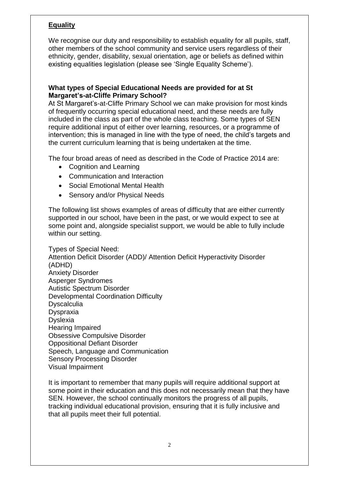### **Equality**

We recognise our duty and responsibility to establish equality for all pupils, staff, other members of the school community and service users regardless of their ethnicity, gender, disability, sexual orientation, age or beliefs as defined within existing equalities legislation (please see 'Single Equality Scheme').

#### **What types of Special Educational Needs are provided for at St Margaret's-at-Cliffe Primary School?**

At St Margaret's-at-Cliffe Primary School we can make provision for most kinds of frequently occurring special educational need, and these needs are fully included in the class as part of the whole class teaching. Some types of SEN require additional input of either over learning, resources, or a programme of intervention; this is managed in line with the type of need, the child's targets and the current curriculum learning that is being undertaken at the time.

The four broad areas of need as described in the Code of Practice 2014 are:

- Cognition and Learning
- Communication and Interaction
- Social Emotional Mental Health
- Sensory and/or Physical Needs

The following list shows examples of areas of difficulty that are either currently supported in our school, have been in the past, or we would expect to see at some point and, alongside specialist support, we would be able to fully include within our setting.

Types of Special Need: Attention Deficit Disorder (ADD)/ Attention Deficit Hyperactivity Disorder (ADHD) Anxiety Disorder Asperger Syndromes Autistic Spectrum Disorder Developmental Coordination Difficulty **Dyscalculia** Dyspraxia Dyslexia Hearing Impaired Obsessive Compulsive Disorder Oppositional Defiant Disorder Speech, Language and Communication Sensory Processing Disorder Visual Impairment

It is important to remember that many pupils will require additional support at some point in their education and this does not necessarily mean that they have SEN. However, the school continually monitors the progress of all pupils, tracking individual educational provision, ensuring that it is fully inclusive and that all pupils meet their full potential.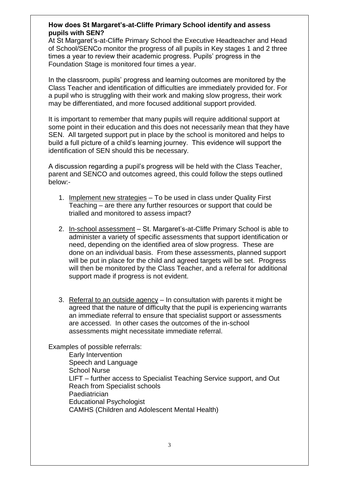#### **How does St Margaret's-at-Cliffe Primary School identify and assess pupils with SEN?**

At St Margaret's-at-Cliffe Primary School the Executive Headteacher and Head of School/SENCo monitor the progress of all pupils in Key stages 1 and 2 three times a year to review their academic progress. Pupils' progress in the Foundation Stage is monitored four times a year.

In the classroom, pupils' progress and learning outcomes are monitored by the Class Teacher and identification of difficulties are immediately provided for. For a pupil who is struggling with their work and making slow progress, their work may be differentiated, and more focused additional support provided.

It is important to remember that many pupils will require additional support at some point in their education and this does not necessarily mean that they have SEN. All targeted support put in place by the school is monitored and helps to build a full picture of a child's learning journey. This evidence will support the identification of SEN should this be necessary.

A discussion regarding a pupil's progress will be held with the Class Teacher, parent and SENCO and outcomes agreed, this could follow the steps outlined below:-

- 1. Implement new strategies To be used in class under Quality First Teaching – are there any further resources or support that could be trialled and monitored to assess impact?
- 2. In-school assessment St. Margaret's-at-Cliffe Primary School is able to administer a variety of specific assessments that support identification or need, depending on the identified area of slow progress. These are done on an individual basis. From these assessments, planned support will be put in place for the child and agreed targets will be set. Progress will then be monitored by the Class Teacher, and a referral for additional support made if progress is not evident.
- 3. Referral to an outside agency In consultation with parents it might be agreed that the nature of difficulty that the pupil is experiencing warrants an immediate referral to ensure that specialist support or assessments are accessed. In other cases the outcomes of the in-school assessments might necessitate immediate referral.

Examples of possible referrals:

Early Intervention Speech and Language School Nurse LIFT – further access to Specialist Teaching Service support, and Out Reach from Specialist schools **Paediatrician** Educational Psychologist CAMHS (Children and Adolescent Mental Health)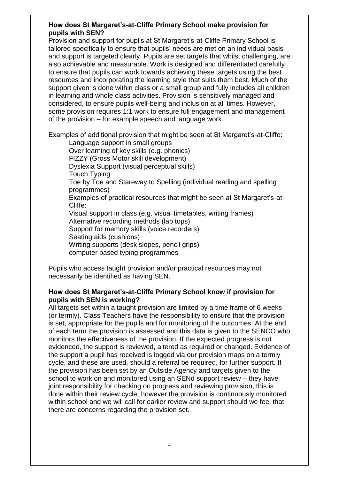#### **How does St Margaret's-at-Cliffe Primary School make provision for pupils with SEN?**

Provision and support for pupils at St Margaret's-at-Cliffe Primary School is tailored specifically to ensure that pupils' needs are met on an individual basis and support is targeted clearly. Pupils are set targets that whilst challenging, are also achievable and measurable. Work is designed and differentiated carefully to ensure that pupils can work towards achieving these targets using the best resources and incorporating the learning style that suits them best. Much of the support given is done within class or a small group and fully includes all children in learning and whole class activities. Provision is sensitively managed and considered, to ensure pupils well-being and inclusion at all times. However, some provision requires 1:1 work to ensure full engagement and management of the provision – for example speech and language work.

Examples of additional provision that might be seen at St Margaret's-at-Cliffe:

Language support in small groups Over learning of key skills (e.g. phonics) FIZZY (Gross Motor skill development) Dyslexia Support (visual perceptual skills) Touch Typing Toe by Toe and Stareway to Spelling (individual reading and spelling programmes) Examples of practical resources that might be seen at St Margaret's-at-Cliffe: Visual support in class (e.g. visual timetables, writing frames) Alternative recording methods (lap tops) Support for memory skills (voice recorders) Seating aids (cushions) Writing supports (desk slopes, pencil grips)

computer based typing programmes

Pupils who access taught provision and/or practical resources may not necessarily be identified as having SEN.

#### **How does St Margaret's-at-Cliffe Primary School know if provision for pupils with SEN is working?**

All targets set within a taught provision are limited by a time frame of 6 weeks (or termly). Class Teachers have the responsibility to ensure that the provision is set, appropriate for the pupils and for monitoring of the outcomes. At the end of each term the provision is assessed and this data is given to the SENCO who monitors the effectiveness of the provision. If the expected progress is not evidenced, the support is reviewed, altered as required or changed. Evidence of the support a pupil has received is logged via our provision maps on a termly cycle, and these are used, should a referral be required, for further support. If the provision has been set by an Outside Agency and targets given to the school to work on and monitored using an SENd support review – they have joint responsibility for checking on progress and reviewing provision, this is done within their review cycle, however the provision is continuously monitored within school and we will call for earlier review and support should we feel that there are concerns regarding the provision set.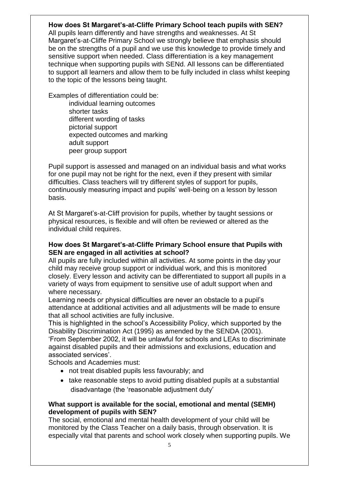#### **How does St Margaret's-at-Cliffe Primary School teach pupils with SEN?**

All pupils learn differently and have strengths and weaknesses. At St Margaret's-at-Cliffe Primary School we strongly believe that emphasis should be on the strengths of a pupil and we use this knowledge to provide timely and sensitive support when needed. Class differentiation is a key management technique when supporting pupils with SENd. All lessons can be differentiated to support all learners and allow them to be fully included in class whilst keeping to the topic of the lessons being taught.

Examples of differentiation could be: individual learning outcomes shorter tasks different wording of tasks pictorial support expected outcomes and marking adult support peer group support

Pupil support is assessed and managed on an individual basis and what works for one pupil may not be right for the next, even if they present with similar difficulties. Class teachers will try different styles of support for pupils, continuously measuring impact and pupils' well-being on a lesson by lesson basis.

At St Margaret's-at-Cliff provision for pupils, whether by taught sessions or physical resources, is flexible and will often be reviewed or altered as the individual child requires.

#### **How does St Margaret's-at-Cliffe Primary School ensure that Pupils with SEN are engaged in all activities at school?**

All pupils are fully included within all activities. At some points in the day your child may receive group support or individual work, and this is monitored closely. Every lesson and activity can be differentiated to support all pupils in a variety of ways from equipment to sensitive use of adult support when and where necessary.

Learning needs or physical difficulties are never an obstacle to a pupil's attendance at additional activities and all adjustments will be made to ensure that all school activities are fully inclusive.

This is highlighted in the school's Accessibility Policy, which supported by the Disability Discrimination Act (1995) as amended by the SENDA (2001). 'From September 2002, it will be unlawful for schools and LEAs to discriminate against disabled pupils and their admissions and exclusions, education and associated services'.

Schools and Academies must:

- not treat disabled pupils less favourably; and
- take reasonable steps to avoid putting disabled pupils at a substantial disadvantage (the 'reasonable adjustment duty'

#### **What support is available for the social, emotional and mental (SEMH) development of pupils with SEN?**

The social, emotional and mental health development of your child will be monitored by the Class Teacher on a daily basis, through observation. It is especially vital that parents and school work closely when supporting pupils. We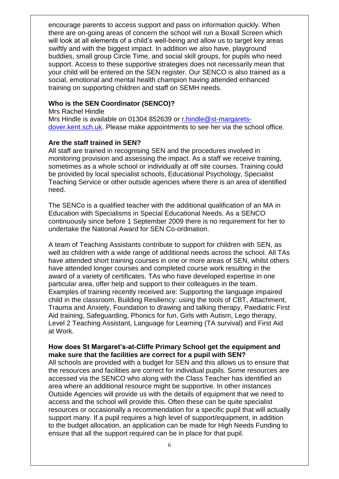encourage parents to access support and pass on information quickly. When there are on-going areas of concern the school will run a Boxall Screen which will look at all elements of a child's well-being and allow us to target key areas swiftly and with the biggest impact. In addition we also have, playground buddies, small group Circle Time, and social skill groups, for pupils who need support. Access to these supportive strategies does not necessarily mean that your child will be entered on the SEN register. Our SENCO is also trained as a social, emotional and mental health champion having attended enhanced training on supporting children and staff on SEMH needs.

#### **Who is the SEN Coordinator (SENCO)?**

Mrs Rachel Hindle Mrs Hindle is available on 01304 852639 or [r.hindle@st-margarets](mailto:r.hindle@st-margarets-dover.kent.sch.uk)[dover.kent.sch.uk.](mailto:r.hindle@st-margarets-dover.kent.sch.uk) Please make appointments to see her via the school office.

#### **Are the staff trained in SEN?**

All staff are trained in recognising SEN and the procedures involved in monitoring provision and assessing the impact. As a staff we receive training, sometimes as a whole school or individually at off site courses. Training could be provided by local specialist schools, Educational Psychology, Specialist Teaching Service or other outside agencies where there is an area of identified need.

The SENCo is a qualified teacher with the additional qualification of an MA in Education with Specialisms in Special Educational Needs. As a SENCO continuously since before 1 September 2009 there is no requirement for her to undertake the National Award for SEN Co-ordination.

A team of Teaching Assistants contribute to support for children with SEN, as well as children with a wide range of additional needs across the school. All TAs have attended short training courses in one or more areas of SEN, whilst others have attended longer courses and completed course work resulting in the award of a variety of certificates. TAs who have developed expertise in one particular area, offer help and support to their colleagues in the team. Examples of training recently received are: Supporting the language impaired child in the classroom, Building Resiliency: using the tools of CBT, Attachment, Trauma and Anxiety, Foundation to drawing and talking therapy, Paediatric First Aid training, Safeguarding, Phonics for fun, Girls with Autism, Lego therapy, Level 2 Teaching Assistant, Language for Learning (TA survival) and First Aid at Work.

#### **How does St Margaret's-at-Cliffe Primary School get the equipment and make sure that the facilities are correct for a pupil with SEN?**

All schools are provided with a budget for SEN and this allows us to ensure that the resources and facilities are correct for individual pupils. Some resources are accessed via the SENCO who along with the Class Teacher has identified an area where an additional resource might be supportive. In other instances Outside Agencies will provide us with the details of equipment that we need to access and the school will provide this. Often these can be quite specialist resources or occasionally a recommendation for a specific pupil that will actually support many. If a pupil requires a high level of support/equipment, in addition to the budget allocation, an application can be made for High Needs Funding to ensure that all the support required can be in place for that pupil.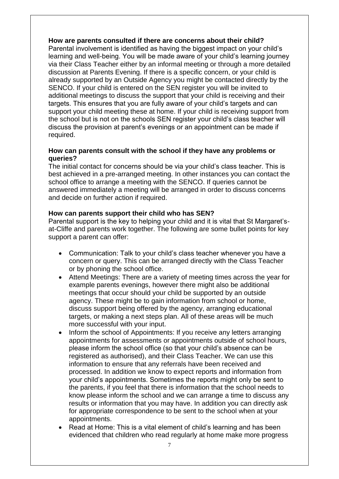#### **How are parents consulted if there are concerns about their child?**

Parental involvement is identified as having the biggest impact on your child's learning and well-being. You will be made aware of your child's learning journey via their Class Teacher either by an informal meeting or through a more detailed discussion at Parents Evening. If there is a specific concern, or your child is already supported by an Outside Agency you might be contacted directly by the SENCO. If your child is entered on the SEN register you will be invited to additional meetings to discuss the support that your child is receiving and their targets. This ensures that you are fully aware of your child's targets and can support your child meeting these at home. If your child is receiving support from the school but is not on the schools SEN register your child's class teacher will discuss the provision at parent's evenings or an appointment can be made if required.

#### **How can parents consult with the school if they have any problems or queries?**

The initial contact for concerns should be via your child's class teacher. This is best achieved in a pre-arranged meeting. In other instances you can contact the school office to arrange a meeting with the SENCO. If queries cannot be answered immediately a meeting will be arranged in order to discuss concerns and decide on further action if required.

#### **How can parents support their child who has SEN?**

Parental support is the key to helping your child and it is vital that St Margaret'sat-Cliffe and parents work together. The following are some bullet points for key support a parent can offer:

- Communication: Talk to your child's class teacher whenever you have a concern or query. This can be arranged directly with the Class Teacher or by phoning the school office.
- Attend Meetings: There are a variety of meeting times across the year for example parents evenings, however there might also be additional meetings that occur should your child be supported by an outside agency. These might be to gain information from school or home, discuss support being offered by the agency, arranging educational targets, or making a next steps plan. All of these areas will be much more successful with your input.
- Inform the school of Appointments: If you receive any letters arranging appointments for assessments or appointments outside of school hours, please inform the school office (so that your child's absence can be registered as authorised), and their Class Teacher. We can use this information to ensure that any referrals have been received and processed. In addition we know to expect reports and information from your child's appointments. Sometimes the reports might only be sent to the parents, if you feel that there is information that the school needs to know please inform the school and we can arrange a time to discuss any results or information that you may have. In addition you can directly ask for appropriate correspondence to be sent to the school when at your appointments.
- Read at Home: This is a vital element of child's learning and has been evidenced that children who read regularly at home make more progress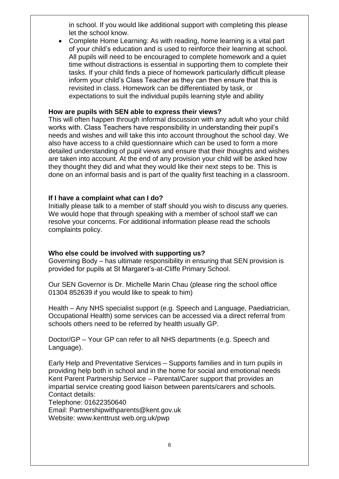in school. If you would like additional support with completing this please let the school know.

 Complete Home Learning: As with reading, home learning is a vital part of your child's education and is used to reinforce their learning at school. All pupils will need to be encouraged to complete homework and a quiet time without distractions is essential in supporting them to complete their tasks. If your child finds a piece of homework particularly difficult please inform your child's Class Teacher as they can then ensure that this is revisited in class. Homework can be differentiated by task, or expectations to suit the individual pupils learning style and ability

#### **How are pupils with SEN able to express their views?**

This will often happen through informal discussion with any adult who your child works with. Class Teachers have responsibility in understanding their pupil's needs and wishes and will take this into account throughout the school day. We also have access to a child questionnaire which can be used to form a more detailed understanding of pupil views and ensure that their thoughts and wishes are taken into account. At the end of any provision your child will be asked how they thought they did and what they would like their next steps to be. This is done on an informal basis and is part of the quality first teaching in a classroom.

#### **If I have a complaint what can I do?**

Initially please talk to a member of staff should you wish to discuss any queries. We would hope that through speaking with a member of school staff we can resolve your concerns. For additional information please read the schools complaints policy.

#### **Who else could be involved with supporting us?**

Governing Body – has ultimate responsibility in ensuring that SEN provision is provided for pupils at St Margaret's-at-Cliffe Primary School.

Our SEN Governor is Dr. Michelle Marin Chau (please ring the school office 01304 852639 if you would like to speak to him)

Health – Any NHS specialist support (e.g. Speech and Language, Paediatrician, Occupational Health) some services can be accessed via a direct referral from schools others need to be referred by health usually GP.

Doctor/GP – Your GP can refer to all NHS departments (e.g. Speech and Language).

Early Help and Preventative Services – Supports families and in turn pupils in providing help both in school and in the home for social and emotional needs Kent Parent Partnership Service – Parental/Carer support that provides an impartial service creating good liaison between parents/carers and schools. Contact details:

Telephone: 01622350640

Email: Partnershipwithparents@kent.gov.uk Website: www.kenttrust web.org.uk/pwp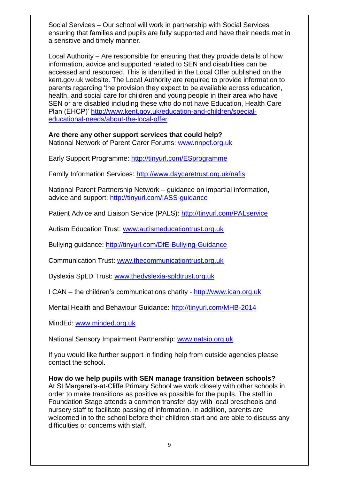Social Services – Our school will work in partnership with Social Services ensuring that families and pupils are fully supported and have their needs met in a sensitive and timely manner.

Local Authority – Are responsible for ensuring that they provide details of how information, advice and supported related to SEN and disabilities can be accessed and resourced. This is identified in the Local Offer published on the kent.gov.uk website. The Local Authority are required to provide information to parents regarding 'the provision they expect to be available across education, health, and social care for children and young people in their area who have SEN or are disabled including these who do not have Education, Health Care Plan (EHCP)' [http://www.kent.gov.uk/education-and-children/special](http://www.kent.gov.uk/education-and-children/special-educational-needs/about-the-local-offer)[educational-needs/about-the-local-offer](http://www.kent.gov.uk/education-and-children/special-educational-needs/about-the-local-offer)

## **Are there any other support services that could help?**

National Network of Parent Carer Forums: [www.nnpcf.org.uk](http://www.nnpcf.org.uk/)

Early Support Programme:<http://tinyurl.com/ESprogramme>

Family Information Services:<http://www.daycaretrust.org.uk/nafis>

National Parent Partnership Network – guidance on impartial information, advice and support:<http://tinyurl.com/IASS-guidance>

Patient Advice and Liaison Service (PALS):<http://tinyurl.com/PALservice>

Autism Education Trust: [www.autismeducationtrust.org.uk](http://www.autismeducationtrust.org.uk/)

Bullying guidance:<http://tinyurl.com/DfE-Bullying-Guidance>

Communication Trust: [www.thecommunicationtrust.org.uk](http://www.thecommunicationtrust.org.uk/)

Dyslexia SpLD Trust: [www.thedyslexia-spldtrust.org.uk](http://www.thedyslexia-spldtrust.org.uk/)

I CAN – the children's communications charity - [http://www.ican.org.uk](http://www.ican.org.uk/)

Mental Health and Behaviour Guidance:<http://tinyurl.com/MHB-2014>

MindEd: [www.minded.org.uk](http://www.minded.org.uk/)

National Sensory Impairment Partnership: [www.natsip.org.uk](http://www.natsip.org.uk/)

If you would like further support in finding help from outside agencies please contact the school.

**How do we help pupils with SEN manage transition between schools?** At St Margaret's-at-Cliffe Primary School we work closely with other schools in order to make transitions as positive as possible for the pupils. The staff in Foundation Stage attends a common transfer day with local preschools and nursery staff to facilitate passing of information. In addition, parents are welcomed in to the school before their children start and are able to discuss any difficulties or concerns with staff.